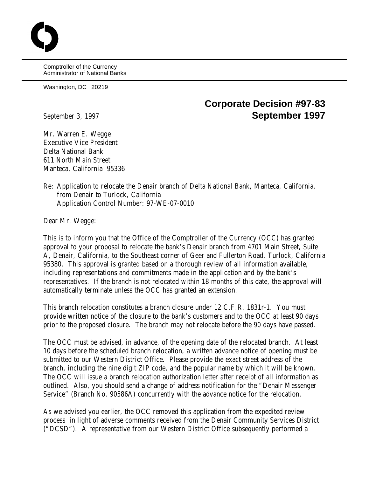Comptroller of the Currency Administrator of National Banks

Washington, DC 20219

## **Corporate Decision #97-83** September 3, 1997 **September 1997**

Mr. Warren E. Wegge Executive Vice President Delta National Bank 611 North Main Street Manteca, California 95336

## Re: Application to relocate the Denair branch of Delta National Bank, Manteca, California, from Denair to Turlock, California Application Control Number: 97-WE-07-0010

Dear Mr. Wegge:

This is to inform you that the Office of the Comptroller of the Currency (OCC) has granted approval to your proposal to relocate the bank's Denair branch from 4701 Main Street, Suite A, Denair, California, to the Southeast corner of Geer and Fullerton Road, Turlock, California 95380. This approval is granted based on a thorough review of all information available, including representations and commitments made in the application and by the bank's representatives. If the branch is not relocated within 18 months of this date, the approval will automatically terminate unless the OCC has granted an extension.

This branch relocation constitutes a branch closure under 12 C.F.R. 1831r-1. You must provide written notice of the closure to the bank's customers and to the OCC at least 90 days prior to the proposed closure. The branch may not relocate before the 90 days have passed.

The OCC must be advised, in advance, of the opening date of the relocated branch. At least 10 days before the scheduled branch relocation, a written advance notice of opening must be submitted to our Western District Office. Please provide the exact street address of the branch, including the nine digit ZIP code, and the popular name by which it will be known. The OCC will issue a branch relocation authorization letter after receipt of all information as outlined. Also, you should send a change of address notification for the "Denair Messenger Service" (Branch No. 90586A) concurrently with the advance notice for the relocation.

As we advised you earlier, the OCC removed this application from the expedited review process in light of adverse comments received from the Denair Community Services District ("DCSD"). A representative from our Western District Office subsequently performed a